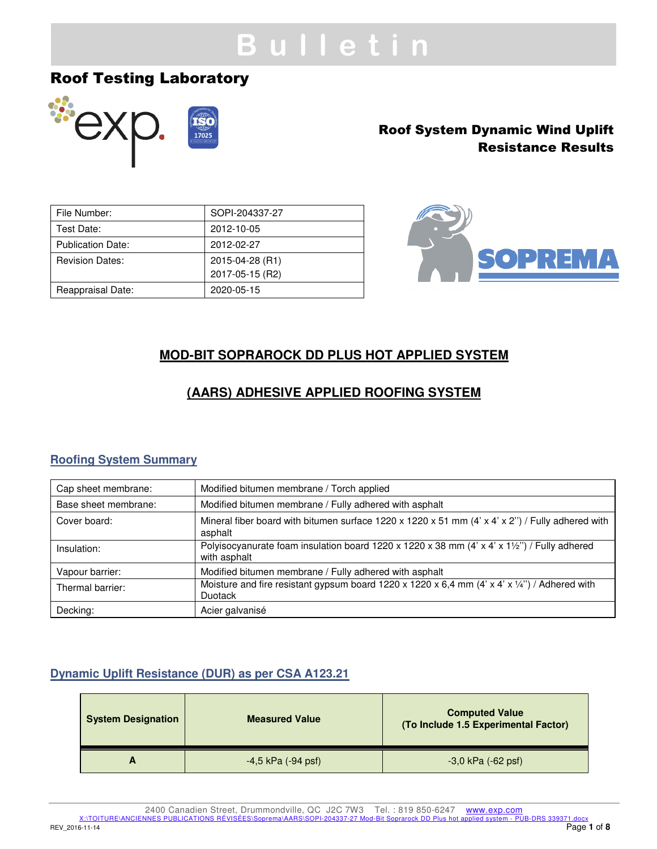# **B u l l e t i n**

## Roof Testing Laboratory



## Roof System Dynamic Wind Uplift Resistance Results

| File Number:             | SOPI-204337-27  |
|--------------------------|-----------------|
| Test Date:               | 2012-10-05      |
| <b>Publication Date:</b> | 2012-02-27      |
| <b>Revision Dates:</b>   | 2015-04-28 (R1) |
|                          | 2017-05-15 (R2) |
| Reappraisal Date:        | 2020-05-15      |



## **MOD-BIT SOPRAROCK DD PLUS HOT APPLIED SYSTEM**

## **(AARS) ADHESIVE APPLIED ROOFING SYSTEM**

## **Roofing System Summary**

| Cap sheet membrane:  | Modified bitumen membrane / Torch applied                                                                               |
|----------------------|-------------------------------------------------------------------------------------------------------------------------|
| Base sheet membrane: | Modified bitumen membrane / Fully adhered with asphalt                                                                  |
| Cover board:         | Mineral fiber board with bitumen surface $1220 \times 1220 \times 51$ mm (4' x 4' x 2") / Fully adhered with<br>asphalt |
| Insulation:          | Polyisocyanurate foam insulation board 1220 x 1220 x 38 mm (4' x 4' x 11/2") / Fully adhered<br>with asphalt            |
| Vapour barrier:      | Modified bitumen membrane / Fully adhered with asphalt                                                                  |
| Thermal barrier:     | Moisture and fire resistant gypsum board 1220 x 1220 x 6,4 mm (4' x 4' x 1/4") / Adhered with<br>Duotack                |
| Decking:             | Acier galvanisé                                                                                                         |

## **Dynamic Uplift Resistance (DUR) as per CSA A123.21**

| <b>System Designation</b> | <b>Measured Value</b>  | <b>Computed Value</b><br>(To Include 1.5 Experimental Factor) |
|---------------------------|------------------------|---------------------------------------------------------------|
|                           | $-4.5$ kPa $(-94$ psf) | $-3,0$ kPa $(-62$ psf)                                        |

2400 Canadien Street, Drummondville, QC J2C 7W3 Tel. : 819 850-6247 www.exp.com

X:\TOITURE\ANCIENNES PUBLICATIONS RÉVISÉES\Soprema\AARS\SOPI-204337-27 Mod-Bit Soprarock DD Plus hot applied system - PUB-DRS 339371.docx<br>Page 1 of 8

REV\_2016-11-14 Page **1** of **8**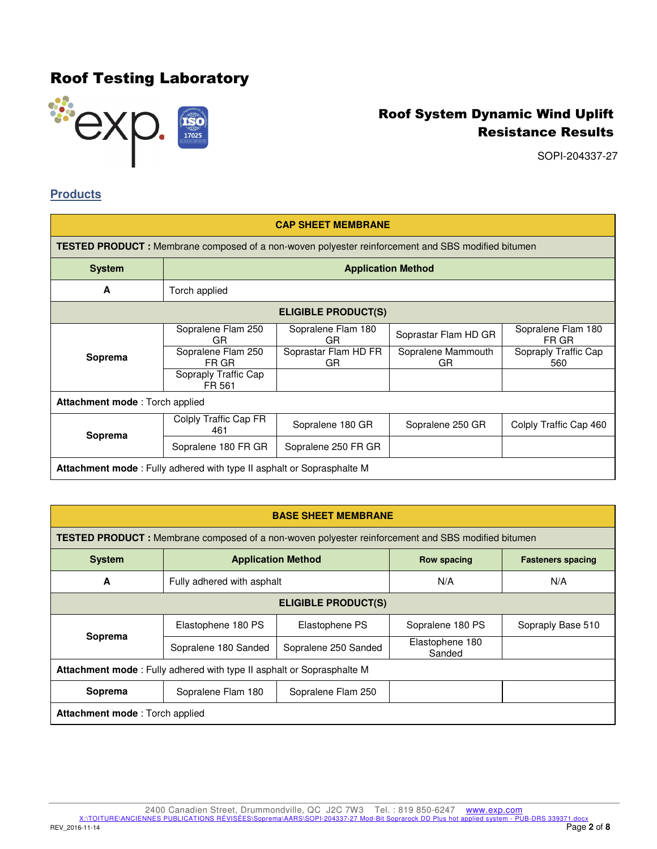

SOPI-204337-27

### **Products**

| <b>CAP SHEET MEMBRANE</b>                                                     |                                                                                                           |                            |                          |                             |
|-------------------------------------------------------------------------------|-----------------------------------------------------------------------------------------------------------|----------------------------|--------------------------|-----------------------------|
|                                                                               | <b>TESTED PRODUCT</b> : Membrane composed of a non-woven polyester reinforcement and SBS modified bitumen |                            |                          |                             |
| <b>System</b>                                                                 | <b>Application Method</b>                                                                                 |                            |                          |                             |
| A                                                                             | Torch applied                                                                                             |                            |                          |                             |
| <b>ELIGIBLE PRODUCT(S)</b>                                                    |                                                                                                           |                            |                          |                             |
|                                                                               | Sopralene Flam 250<br>GR.                                                                                 | Sopralene Flam 180<br>GR   | Soprastar Flam HD GR     | Sopralene Flam 180<br>FR GR |
| Soprema                                                                       | Sopralene Flam 250<br>FR GR                                                                               | Soprastar Flam HD FR<br>GR | Sopralene Mammouth<br>GR | Sopraply Traffic Cap<br>560 |
|                                                                               | Sopraply Traffic Cap<br>FR 561                                                                            |                            |                          |                             |
| Attachment mode: Torch applied                                                |                                                                                                           |                            |                          |                             |
| Soprema                                                                       | Colply Traffic Cap FR<br>461                                                                              | Sopralene 180 GR           | Sopralene 250 GR         | Colply Traffic Cap 460      |
|                                                                               | Sopralene 180 FR GR                                                                                       | Sopralene 250 FR GR        |                          |                             |
| <b>Attachment mode</b> : Fully adhered with type II asphalt or Soprasphalte M |                                                                                                           |                            |                          |                             |

| <b>BASE SHEET MEMBRANE</b>                                            |                                                                                                           |                      |                           |                          |  |
|-----------------------------------------------------------------------|-----------------------------------------------------------------------------------------------------------|----------------------|---------------------------|--------------------------|--|
|                                                                       | <b>TESTED PRODUCT</b> : Membrane composed of a non-woven polyester reinforcement and SBS modified bitumen |                      |                           |                          |  |
| <b>System</b>                                                         | <b>Application Method</b>                                                                                 |                      | <b>Row spacing</b>        | <b>Fasteners spacing</b> |  |
| A                                                                     | Fully adhered with asphalt                                                                                |                      | N/A                       | N/A                      |  |
|                                                                       | <b>ELIGIBLE PRODUCT(S)</b>                                                                                |                      |                           |                          |  |
|                                                                       | Elastophene 180 PS                                                                                        | Elastophene PS       | Sopralene 180 PS          | Sopraply Base 510        |  |
| Soprema                                                               | Sopralene 180 Sanded                                                                                      | Sopralene 250 Sanded | Elastophene 180<br>Sanded |                          |  |
| Attachment mode: Fully adhered with type II asphalt or Soprasphalte M |                                                                                                           |                      |                           |                          |  |
| Soprema                                                               | Sopralene Flam 180                                                                                        | Sopralene Flam 250   |                           |                          |  |
| <b>Attachment mode:</b> Torch applied                                 |                                                                                                           |                      |                           |                          |  |

2400 Canadien Street, Drummondville, QC J2C 7W3 Tel. : 819 850-6247 www.exp.com<br><u>X:\TOITURE\ANCIENNES PUBLICATIONS RÉVISÉES\Soprema\AARS\SOPI-204337-27 Mod-Bit Soprarock DD Plus hot applied system - PUB-DRS 339371.docx<br>Pag</u>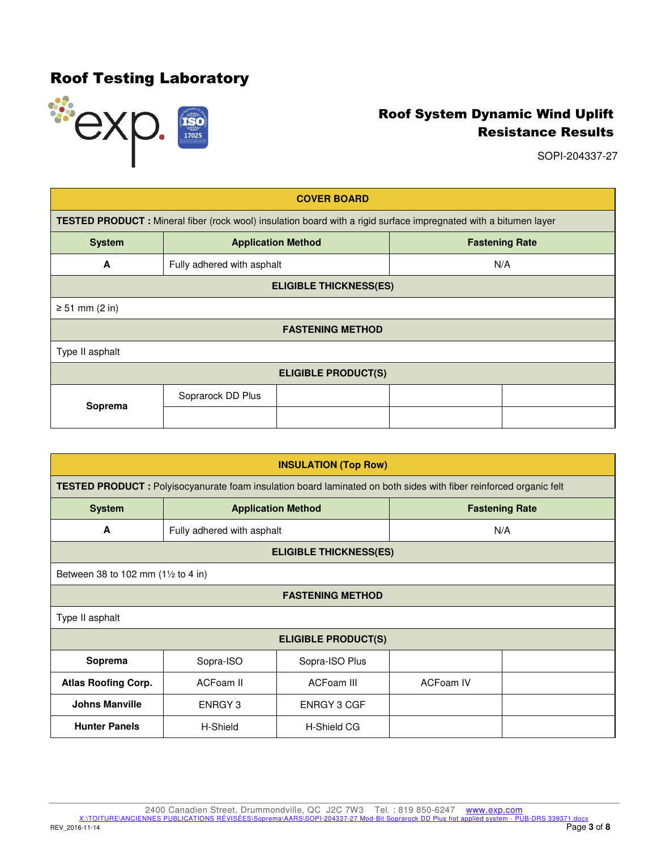

SOPI-204337-27

| <b>COVER BOARD</b>         |                                                                                                                   |                           |                       |  |
|----------------------------|-------------------------------------------------------------------------------------------------------------------|---------------------------|-----------------------|--|
|                            | TESTED PRODUCT : Mineral fiber (rock wool) insulation board with a rigid surface impregnated with a bitumen layer |                           |                       |  |
| <b>System</b>              |                                                                                                                   | <b>Application Method</b> | <b>Fastening Rate</b> |  |
| A                          | Fully adhered with asphalt                                                                                        |                           | N/A                   |  |
|                            | <b>ELIGIBLE THICKNESS(ES)</b>                                                                                     |                           |                       |  |
| $\geq 51$ mm (2 in)        |                                                                                                                   |                           |                       |  |
| <b>FASTENING METHOD</b>    |                                                                                                                   |                           |                       |  |
| Type II asphalt            |                                                                                                                   |                           |                       |  |
| <b>ELIGIBLE PRODUCT(S)</b> |                                                                                                                   |                           |                       |  |
|                            | Soprarock DD Plus                                                                                                 |                           |                       |  |
| Soprema                    |                                                                                                                   |                           |                       |  |

| <b>INSULATION (Top Row)</b> |                                               |                                                                                                                           |                       |     |  |
|-----------------------------|-----------------------------------------------|---------------------------------------------------------------------------------------------------------------------------|-----------------------|-----|--|
|                             |                                               | <b>TESTED PRODUCT</b> : Polyisocyanurate foam insulation board laminated on both sides with fiber reinforced organic felt |                       |     |  |
| <b>System</b>               |                                               | <b>Application Method</b>                                                                                                 | <b>Fastening Rate</b> |     |  |
| A                           | Fully adhered with asphalt                    |                                                                                                                           |                       | N/A |  |
|                             |                                               | <b>ELIGIBLE THICKNESS(ES)</b>                                                                                             |                       |     |  |
|                             | Between 38 to 102 mm $(1\frac{1}{2}$ to 4 in) |                                                                                                                           |                       |     |  |
| <b>FASTENING METHOD</b>     |                                               |                                                                                                                           |                       |     |  |
| Type II asphalt             |                                               |                                                                                                                           |                       |     |  |
| <b>ELIGIBLE PRODUCT(S)</b>  |                                               |                                                                                                                           |                       |     |  |
| Soprema                     | Sopra-ISO                                     | Sopra-ISO Plus                                                                                                            |                       |     |  |
| <b>Atlas Roofing Corp.</b>  | ACFoam II                                     | ACFoam III                                                                                                                | <b>ACFoam IV</b>      |     |  |
| <b>Johns Manville</b>       | ENRGY 3                                       | <b>ENRGY 3 CGF</b>                                                                                                        |                       |     |  |
| <b>Hunter Panels</b>        | H-Shield                                      | <b>H-Shield CG</b>                                                                                                        |                       |     |  |

2400 Canadien Street, Drummondville, QC J2C 7W3 Tel. : 819 850-6247 www.exp.com<br><u>X:\TOITURE\ANCIENNES PUBLICATIONS RÉVISÉES\Soprema\AARS\SOPI-204337-27 Mod-Bit Soprarock DD Plus hot applied system - PUB-DRS 339371.docx<br>Pag</u>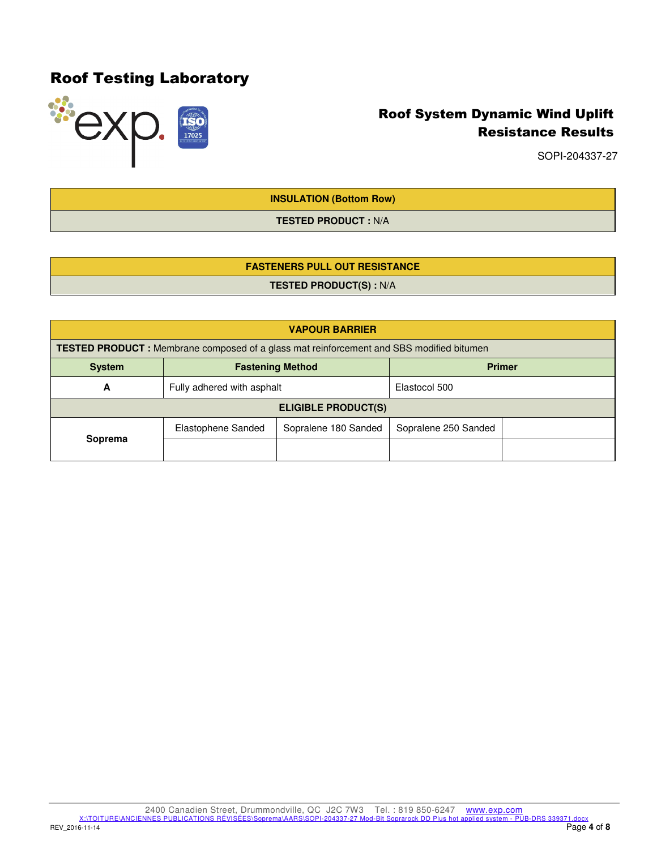

SOPI-204337-27

**INSULATION (Bottom Row)** 

**TESTED PRODUCT :** N/A

## **FASTENERS PULL OUT RESISTANCE**

**TESTED PRODUCT(S) :** N/A

| <b>VAPOUR BARRIER</b>                                     |                                                                                                 |                      |                      |  |
|-----------------------------------------------------------|-------------------------------------------------------------------------------------------------|----------------------|----------------------|--|
|                                                           | <b>TESTED PRODUCT</b> : Membrane composed of a glass mat reinforcement and SBS modified bitumen |                      |                      |  |
| <b>Primer</b><br><b>Fastening Method</b><br><b>System</b> |                                                                                                 |                      |                      |  |
| A                                                         | Fully adhered with asphalt                                                                      |                      | Elastocol 500        |  |
| <b>ELIGIBLE PRODUCT(S)</b>                                |                                                                                                 |                      |                      |  |
|                                                           | Elastophene Sanded                                                                              | Sopralene 180 Sanded | Sopralene 250 Sanded |  |
| Soprema                                                   |                                                                                                 |                      |                      |  |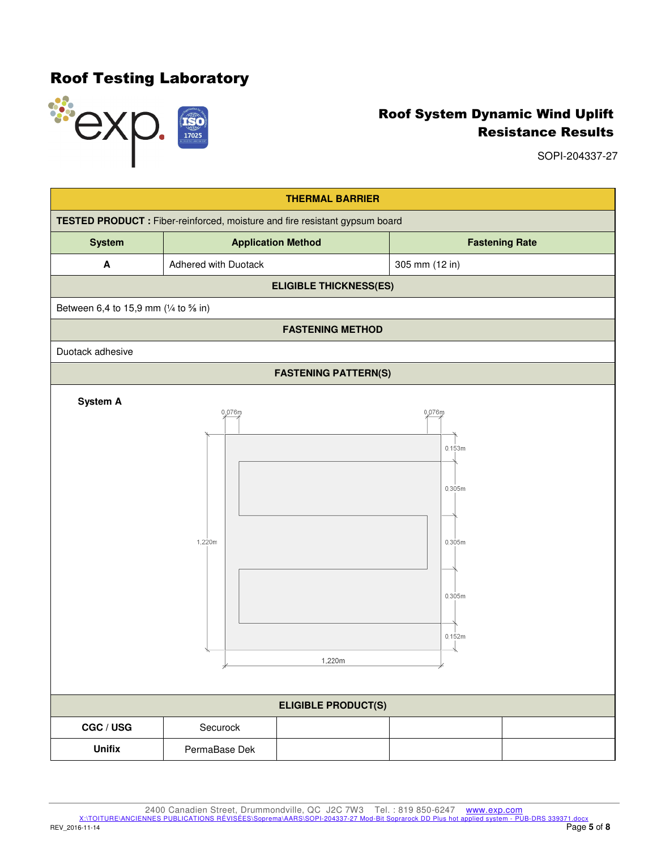

SOPI-204337-27



2400 Canadien Street, Drummondville, QC J2C 7W3 Tel. : 819 850-6247 www.exp.com

X:\TOITURE\ANCIENNES PUBLICATIONS RÉVISÉES\Soprema\AARS\SOPI-204337-27 Mod-Bit Soprarock DD Plus hot applied system - PUB-DRS 339371.docx<br>Page 5 of 8

REV\_2016-11-14 Page **5** of **8**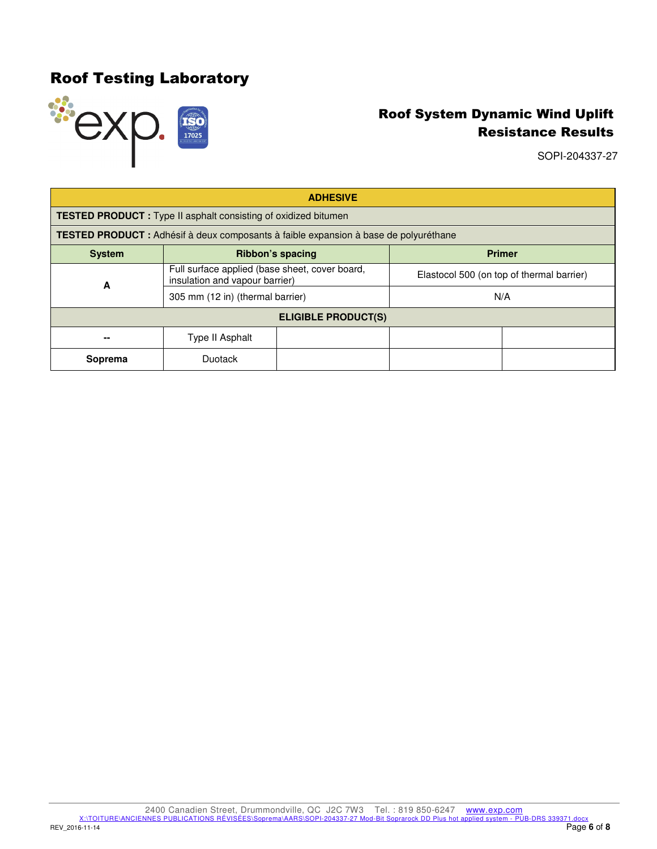

SOPI-204337-27

| <b>ADHESIVE</b>            |                                                                                      |  |                                           |               |
|----------------------------|--------------------------------------------------------------------------------------|--|-------------------------------------------|---------------|
|                            | <b>TESTED PRODUCT</b> : Type II asphalt consisting of oxidized bitumen               |  |                                           |               |
|                            | TESTED PRODUCT : Adhésif à deux composants à faible expansion à base de polyuréthane |  |                                           |               |
| <b>System</b>              | Ribbon's spacing                                                                     |  |                                           | <b>Primer</b> |
| A                          | Full surface applied (base sheet, cover board,<br>insulation and vapour barrier)     |  | Elastocol 500 (on top of thermal barrier) |               |
|                            | 305 mm (12 in) (thermal barrier)                                                     |  |                                           | N/A           |
| <b>ELIGIBLE PRODUCT(S)</b> |                                                                                      |  |                                           |               |
|                            | Type II Asphalt                                                                      |  |                                           |               |
| Soprema                    | Duotack                                                                              |  |                                           |               |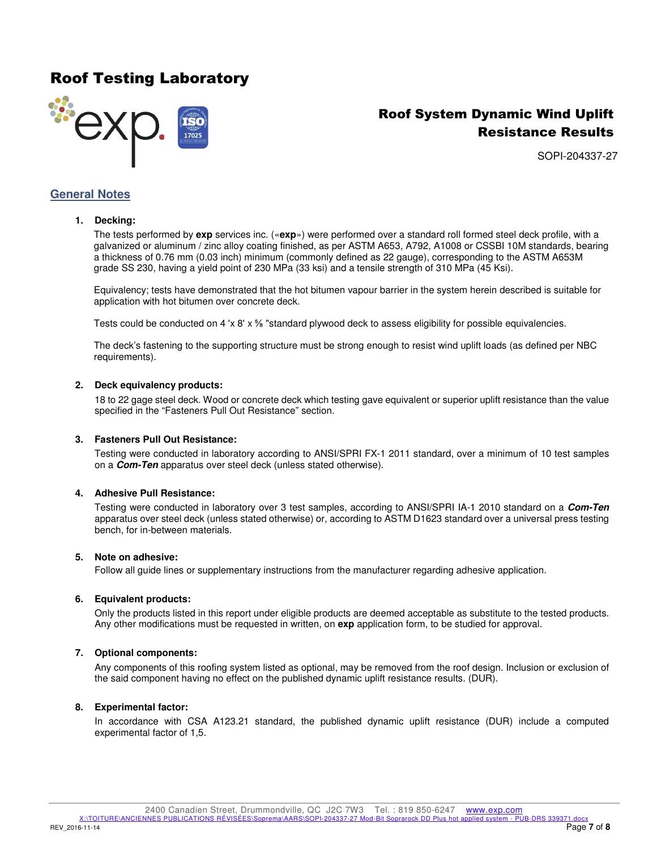## Roof Testing Laboratory



## Roof System Dynamic Wind Uplift Resistance Results

SOPI-204337-27

### **General Notes**

### **1. Decking:**

The tests performed by **exp** services inc. («**exp**») were performed over a standard roll formed steel deck profile, with a galvanized or aluminum / zinc alloy coating finished, as per ASTM A653, A792, A1008 or CSSBI 10M standards, bearing a thickness of 0.76 mm (0.03 inch) minimum (commonly defined as 22 gauge), corresponding to the ASTM A653M grade SS 230, having a yield point of 230 MPa (33 ksi) and a tensile strength of 310 MPa (45 Ksi).

Equivalency; tests have demonstrated that the hot bitumen vapour barrier in the system herein described is suitable for application with hot bitumen over concrete deck.

Tests could be conducted on 4 'x 8' x % "standard plywood deck to assess eligibility for possible equivalencies.

The deck's fastening to the supporting structure must be strong enough to resist wind uplift loads (as defined per NBC requirements).

#### **2. Deck equivalency products:**

18 to 22 gage steel deck. Wood or concrete deck which testing gave equivalent or superior uplift resistance than the value specified in the "Fasteners Pull Out Resistance" section.

#### **3. Fasteners Pull Out Resistance:**

Testing were conducted in laboratory according to ANSI/SPRI FX-1 2011 standard, over a minimum of 10 test samples on a **Com-Ten** apparatus over steel deck (unless stated otherwise).

#### **4. Adhesive Pull Resistance:**

Testing were conducted in laboratory over 3 test samples, according to ANSI/SPRI IA-1 2010 standard on a **Com-Ten** apparatus over steel deck (unless stated otherwise) or, according to ASTM D1623 standard over a universal press testing bench, for in-between materials.

#### **5. Note on adhesive:**

Follow all guide lines or supplementary instructions from the manufacturer regarding adhesive application.

#### **6. Equivalent products:**

Only the products listed in this report under eligible products are deemed acceptable as substitute to the tested products. Any other modifications must be requested in written, on **exp** application form, to be studied for approval.

### **7. Optional components:**

Any components of this roofing system listed as optional, may be removed from the roof design. Inclusion or exclusion of the said component having no effect on the published dynamic uplift resistance results. (DUR).

#### **8. Experimental factor:**

In accordance with CSA A123.21 standard, the published dynamic uplift resistance (DUR) include a computed experimental factor of 1,5.

X:\TOITURE\ANCIENNES PUBLICATIONS RÉVISÉES\Soprema\AARS\SOPI-204337-27 Mod-Bit Soprarock DD Plus hot applied system - PUB-DRS 339371.docx<br>Page 7 of 8